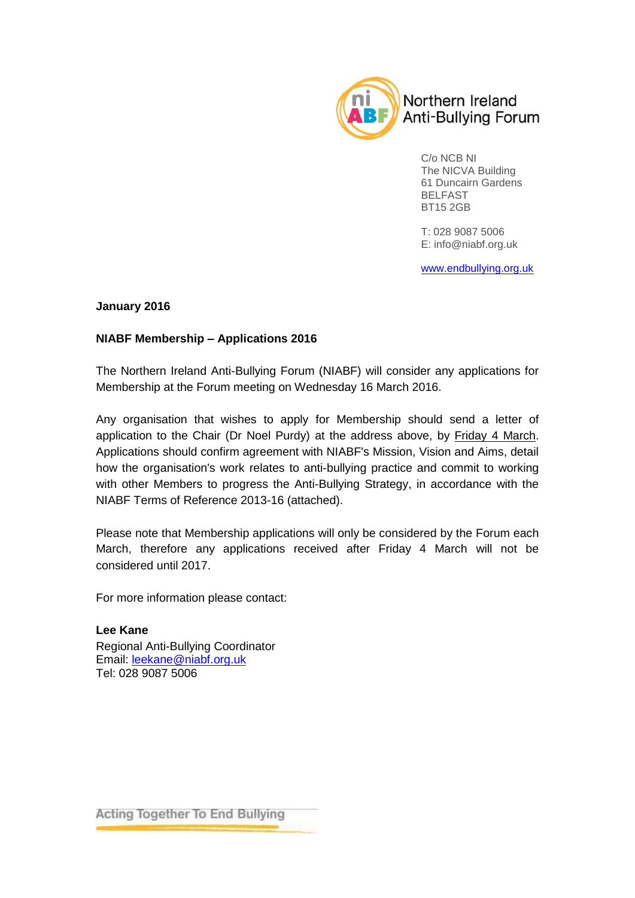

C/o NCB NI The NICVA Building 61 Duncairn Gardens BELFAST BT15 2GB

T: 028 9087 5006 E: [info@niabf.org.uk](mailto:info@niabf.org.uk)

[www.endbullying.org.uk](http://www.endbullying.org.uk/)

#### **January 2016**

#### **NIABF Membership – Applications 2016**

The Northern Ireland Anti-Bullying Forum (NIABF) will consider any applications for Membership at the Forum meeting on Wednesday 16 March 2016.

Any organisation that wishes to apply for Membership should send a letter of application to the Chair (Dr Noel Purdy) at the address above, by Friday 4 March. Applications should confirm agreement with NIABF's Mission, Vision and Aims, detail how the organisation's work relates to anti-bullying practice and commit to working with other Members to progress the Anti-Bullying Strategy, in accordance with the NIABF Terms of Reference 2013-16 (attached).

Please note that Membership applications will only be considered by the Forum each March, therefore any applications received after Friday 4 March will not be considered until 2017.

For more information please contact:

**Lee Kane** Regional Anti-Bullying Coordinator Email: [leekane@niabf.org.uk](mailto:leekane@niabf.org.uk) Tel: 028 9087 5006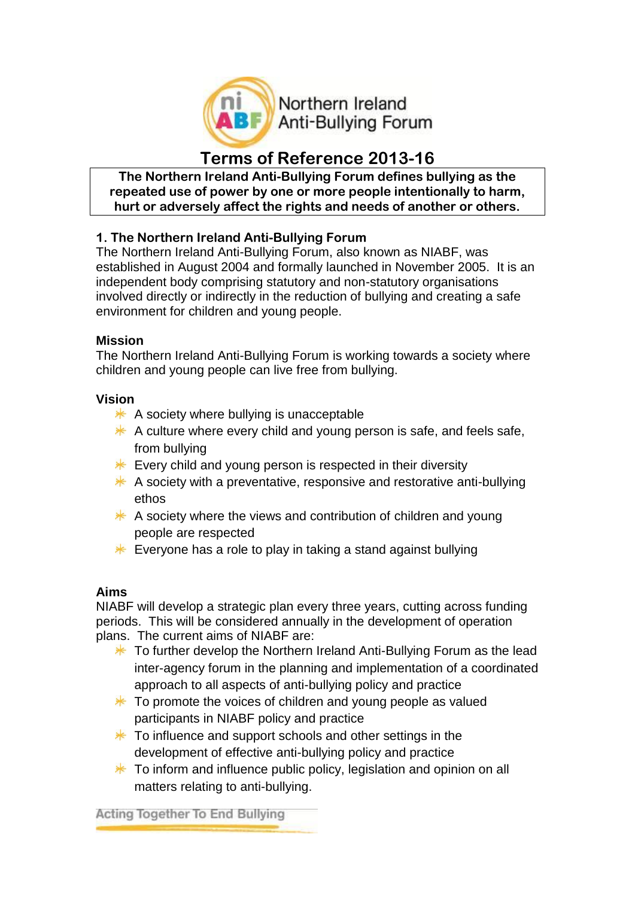

# **Terms of Reference 2013-16**

**The Northern Ireland Anti-Bullying Forum defines bullying as the repeated use of power by one or more people intentionally to harm, hurt or adversely affect the rights and needs of another or others.**

## **1. The Northern Ireland Anti-Bullying Forum**

The Northern Ireland Anti-Bullying Forum, also known as NIABF, was established in August 2004 and formally launched in November 2005. It is an independent body comprising statutory and non-statutory organisations involved directly or indirectly in the reduction of bullying and creating a safe environment for children and young people.

#### **Mission**

The Northern Ireland Anti-Bullying Forum is working towards a society where children and young people can live free from bullying.

#### **Vision**

- $*$  A society where bullying is unacceptable
- $*$  A culture where every child and young person is safe, and feels safe, from bullying
- $*$  Every child and young person is respected in their diversity
- $*$  A society with a preventative, responsive and restorative anti-bullying ethos
- $*$  A society where the views and contribution of children and young people are respected
- $*$  Everyone has a role to play in taking a stand against bullying

### **Aims**

NIABF will develop a strategic plan every three years, cutting across funding periods. This will be considered annually in the development of operation plans. The current aims of NIABF are:

- $*$  To further develop the Northern Ireland Anti-Bullying Forum as the lead inter-agency forum in the planning and implementation of a coordinated approach to all aspects of anti-bullying policy and practice
- $*$  To promote the voices of children and young people as valued participants in NIABF policy and practice
- $*$  To influence and support schools and other settings in the development of effective anti-bullying policy and practice
- $*$  To inform and influence public policy, legislation and opinion on all matters relating to anti-bullying.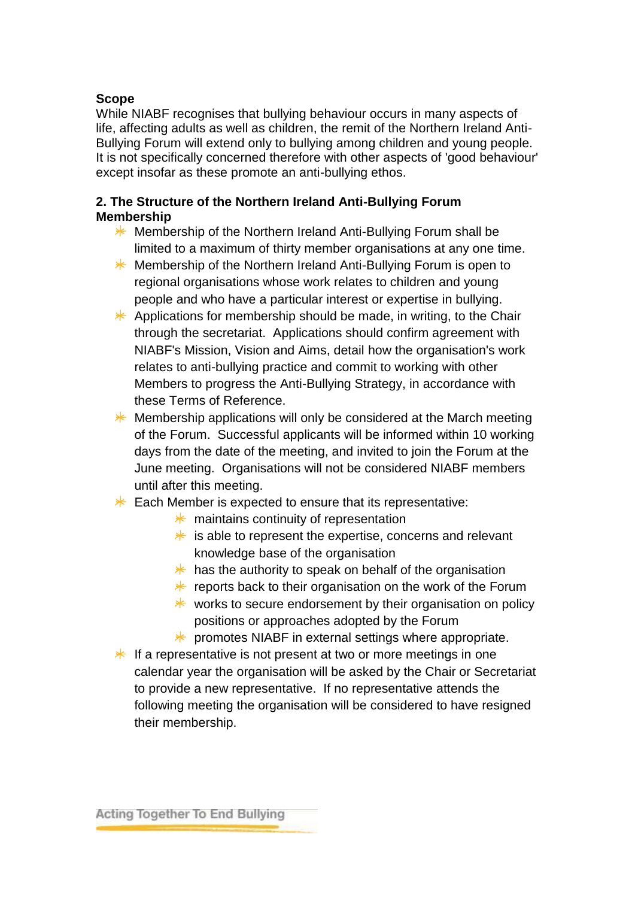#### **Scope**

While NIABF recognises that bullying behaviour occurs in many aspects of life, affecting adults as well as children, the remit of the Northern Ireland Anti-Bullying Forum will extend only to bullying among children and young people. It is not specifically concerned therefore with other aspects of 'good behaviour' except insofar as these promote an anti-bullying ethos.

#### **2. The Structure of the Northern Ireland Anti-Bullying Forum Membership**

- **Membership of the Northern Ireland Anti-Bullying Forum shall be** limited to a maximum of thirty member organisations at any one time.
- **K** Membership of the Northern Ireland Anti-Bullying Forum is open to regional organisations whose work relates to children and young people and who have a particular interest or expertise in bullying.
- $*$  Applications for membership should be made, in writing, to the Chair through the secretariat. Applications should confirm agreement with NIABF's Mission, Vision and Aims, detail how the organisation's work relates to anti-bullying practice and commit to working with other Members to progress the Anti-Bullying Strategy, in accordance with these Terms of Reference.
- ☀ Membership applications will only be considered at the March meeting of the Forum. Successful applicants will be informed within 10 working days from the date of the meeting, and invited to join the Forum at the June meeting. Organisations will not be considered NIABF members until after this meeting.
- $*$  Each Member is expected to ensure that its representative:
	- $*$  maintains continuity of representation
	- $*$  is able to represent the expertise, concerns and relevant knowledge base of the organisation
	- $*$  has the authority to speak on behalf of the organisation
	- **\*** reports back to their organisation on the work of the Forum
	- $*$  works to secure endorsement by their organisation on policy positions or approaches adopted by the Forum
	- $*$  promotes NIABF in external settings where appropriate.
- $*$  If a representative is not present at two or more meetings in one calendar year the organisation will be asked by the Chair or Secretariat to provide a new representative. If no representative attends the following meeting the organisation will be considered to have resigned their membership.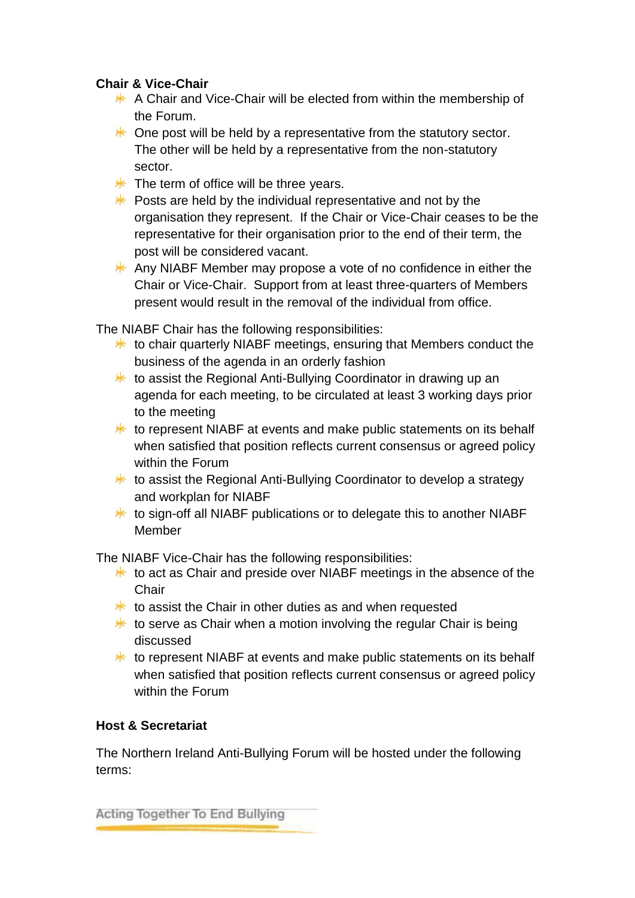### **Chair & Vice-Chair**

- $*$  A Chair and Vice-Chair will be elected from within the membership of the Forum.
- $*$  One post will be held by a representative from the statutory sector. The other will be held by a representative from the non-statutory sector.
- $*$  The term of office will be three years.
- $*$  Posts are held by the individual representative and not by the organisation they represent. If the Chair or Vice-Chair ceases to be the representative for their organisation prior to the end of their term, the post will be considered vacant.
- $*$  Any NIABF Member may propose a vote of no confidence in either the Chair or Vice-Chair. Support from at least three-quarters of Members present would result in the removal of the individual from office.

The NIABF Chair has the following responsibilities:

- $*$  to chair quarterly NIABF meetings, ensuring that Members conduct the business of the agenda in an orderly fashion
- $*$  to assist the Regional Anti-Bullying Coordinator in drawing up an agenda for each meeting, to be circulated at least 3 working days prior to the meeting
- $*$  to represent NIABF at events and make public statements on its behalf when satisfied that position reflects current consensus or agreed policy within the Forum
- $*$  to assist the Regional Anti-Bullying Coordinator to develop a strategy and workplan for NIABF
- $*$  to sign-off all NIABF publications or to delegate this to another NIABF Member

The NIABF Vice-Chair has the following responsibilities:

- $*$  to act as Chair and preside over NIABF meetings in the absence of the **Chair**
- $*$  to assist the Chair in other duties as and when requested
- $*$  to serve as Chair when a motion involving the regular Chair is being discussed
- $*$  to represent NIABF at events and make public statements on its behalf when satisfied that position reflects current consensus or agreed policy within the Forum

## **Host & Secretariat**

The Northern Ireland Anti-Bullying Forum will be hosted under the following terms: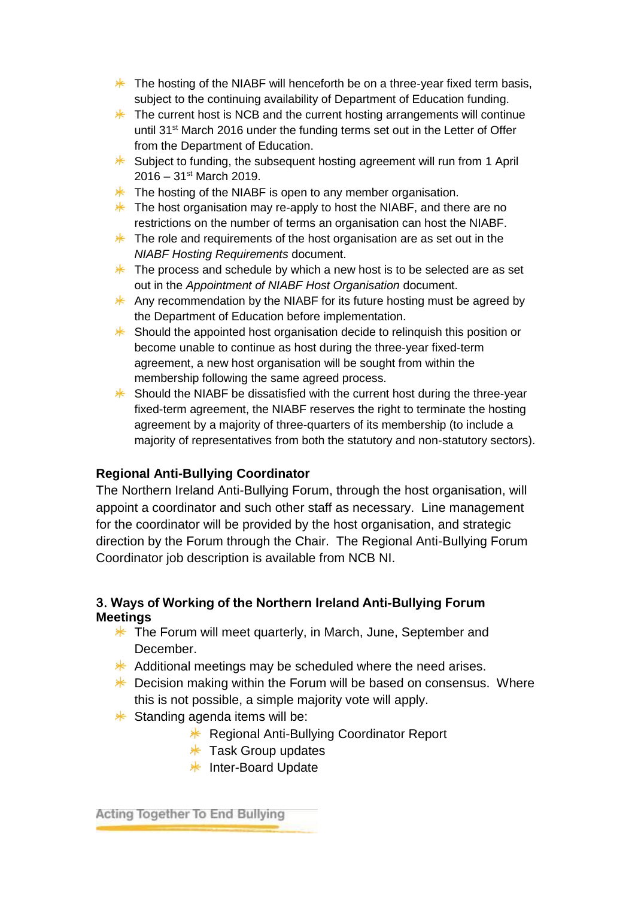- $*$  The hosting of the NIABF will henceforth be on a three-year fixed term basis, subject to the continuing availability of Department of Education funding.
- $*$  The current host is NCB and the current hosting arrangements will continue until 31<sup>st</sup> March 2016 under the funding terms set out in the Letter of Offer from the Department of Education.
- $*$  Subject to funding, the subsequent hosting agreement will run from 1 April  $2016 - 31$ <sup>st</sup> March 2019.
- $*$  The hosting of the NIABF is open to any member organisation.
- $*$  The host organisation may re-apply to host the NIABF, and there are no restrictions on the number of terms an organisation can host the NIABF.
- $*$  The role and requirements of the host organisation are as set out in the *NIABF Hosting Requirements* document.
- $*$  The process and schedule by which a new host is to be selected are as set out in the *Appointment of NIABF Host Organisation* document.
- $*$  Any recommendation by the NIABF for its future hosting must be agreed by the Department of Education before implementation.
- $*$  Should the appointed host organisation decide to relinquish this position or become unable to continue as host during the three-year fixed-term agreement, a new host organisation will be sought from within the membership following the same agreed process.
- $*$  Should the NIABF be dissatisfied with the current host during the three-year fixed-term agreement, the NIABF reserves the right to terminate the hosting agreement by a majority of three-quarters of its membership (to include a majority of representatives from both the statutory and non-statutory sectors).

### **Regional Anti-Bullying Coordinator**

The Northern Ireland Anti-Bullying Forum, through the host organisation, will appoint a coordinator and such other staff as necessary. Line management for the coordinator will be provided by the host organisation, and strategic direction by the Forum through the Chair. The Regional Anti-Bullying Forum Coordinator job description is available from NCB NI.

### **3. Ways of Working of the Northern Ireland Anti-Bullying Forum Meetings**

- $*$  The Forum will meet quarterly, in March, June, September and **December**
- $*$  Additional meetings may be scheduled where the need arises.
- $*$  Decision making within the Forum will be based on consensus. Where this is not possible, a simple majority vote will apply.
- $*$  Standing agenda items will be:
	- **K** Regional Anti-Bullying Coordinator Report
	- $*$  Task Group updates
	- $*$  Inter-Board Update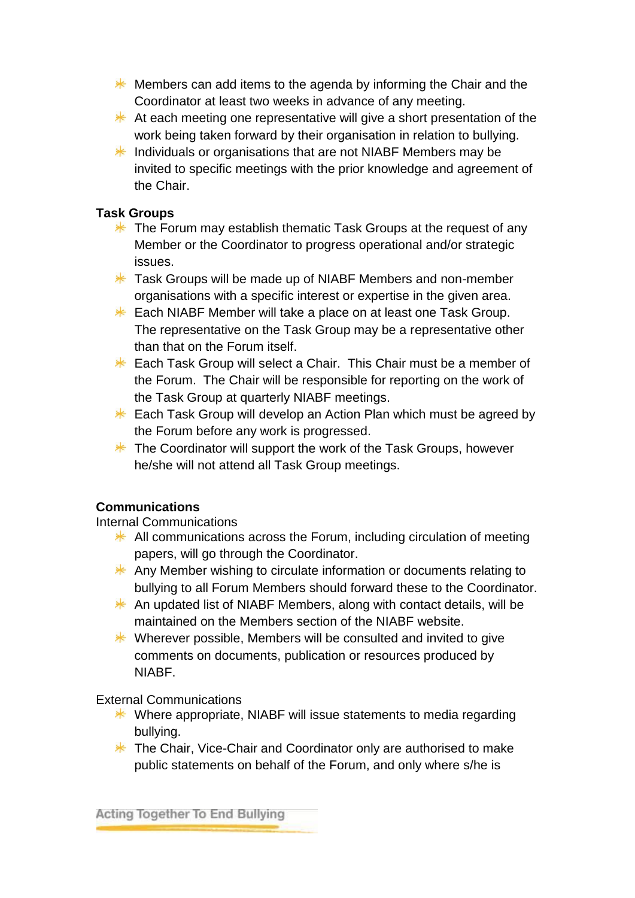- $*$  Members can add items to the agenda by informing the Chair and the Coordinator at least two weeks in advance of any meeting.
- $*$  At each meeting one representative will give a short presentation of the work being taken forward by their organisation in relation to bullying.
- $*$  Individuals or organisations that are not NIABF Members may be invited to specific meetings with the prior knowledge and agreement of the Chair.

### **Task Groups**

- $*$  The Forum may establish thematic Task Groups at the request of any Member or the Coordinator to progress operational and/or strategic issues.
- **\*** Task Groups will be made up of NIABF Members and non-member organisations with a specific interest or expertise in the given area.
- $*$  Each NIABF Member will take a place on at least one Task Group. The representative on the Task Group may be a representative other than that on the Forum itself.
- $*$  Each Task Group will select a Chair. This Chair must be a member of the Forum. The Chair will be responsible for reporting on the work of the Task Group at quarterly NIABF meetings.
- $*$  Each Task Group will develop an Action Plan which must be agreed by the Forum before any work is progressed.
- $*$  The Coordinator will support the work of the Task Groups, however he/she will not attend all Task Group meetings.

## **Communications**

Internal Communications

- $*$  All communications across the Forum, including circulation of meeting papers, will go through the Coordinator.
- $*$  Any Member wishing to circulate information or documents relating to bullying to all Forum Members should forward these to the Coordinator.
- $*$  An updated list of NIABF Members, along with contact details, will be maintained on the Members section of the NIABF website.
- $*$  Wherever possible, Members will be consulted and invited to give comments on documents, publication or resources produced by **NIARF**

External Communications

- $*$  Where appropriate, NIABF will issue statements to media regarding bullying.
- **\*** The Chair, Vice-Chair and Coordinator only are authorised to make public statements on behalf of the Forum, and only where s/he is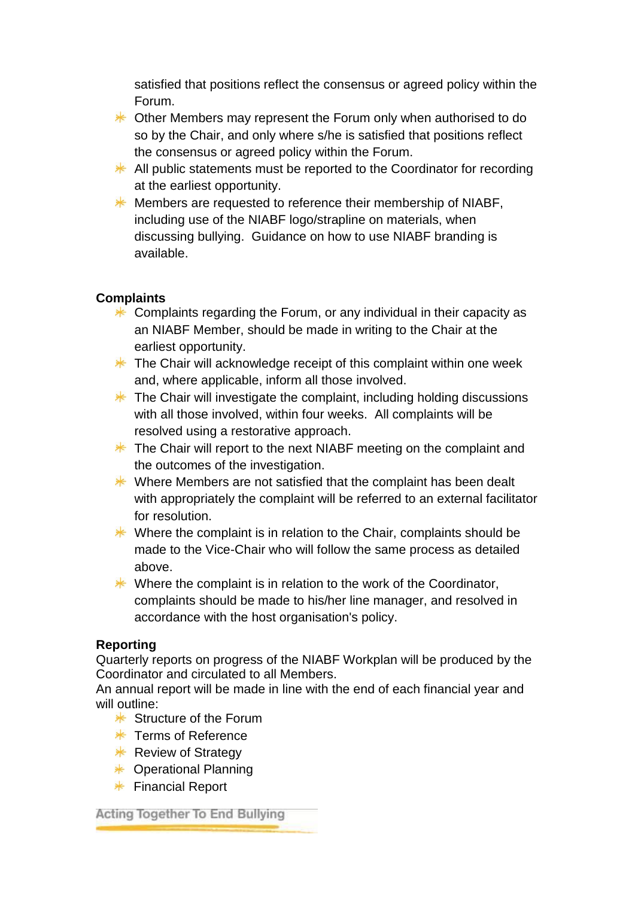satisfied that positions reflect the consensus or agreed policy within the Forum.

- **\*** Other Members may represent the Forum only when authorised to do so by the Chair, and only where s/he is satisfied that positions reflect the consensus or agreed policy within the Forum.
- $*$  All public statements must be reported to the Coordinator for recording at the earliest opportunity.
- $*$  Members are requested to reference their membership of NIABF, including use of the NIABF logo/strapline on materials, when discussing bullying. Guidance on how to use NIABF branding is available.

### **Complaints**

- $*$  Complaints regarding the Forum, or any individual in their capacity as an NIABF Member, should be made in writing to the Chair at the earliest opportunity.
- $*$  The Chair will acknowledge receipt of this complaint within one week and, where applicable, inform all those involved.
- $*$  The Chair will investigate the complaint, including holding discussions with all those involved, within four weeks. All complaints will be resolved using a restorative approach.
- $*$  The Chair will report to the next NIABF meeting on the complaint and the outcomes of the investigation.
- $*$  Where Members are not satisfied that the complaint has been dealt with appropriately the complaint will be referred to an external facilitator for resolution.
- $*$  Where the complaint is in relation to the Chair, complaints should be made to the Vice-Chair who will follow the same process as detailed above.
- $*$  Where the complaint is in relation to the work of the Coordinator, complaints should be made to his/her line manager, and resolved in accordance with the host organisation's policy.

### **Reporting**

Quarterly reports on progress of the NIABF Workplan will be produced by the Coordinator and circulated to all Members.

An annual report will be made in line with the end of each financial year and will outline:

- \* Structure of the Forum
- $*$  Terms of Reference
- $*$  Review of Strategy
- $★$  Operational Planning
- $*$  Financial Report